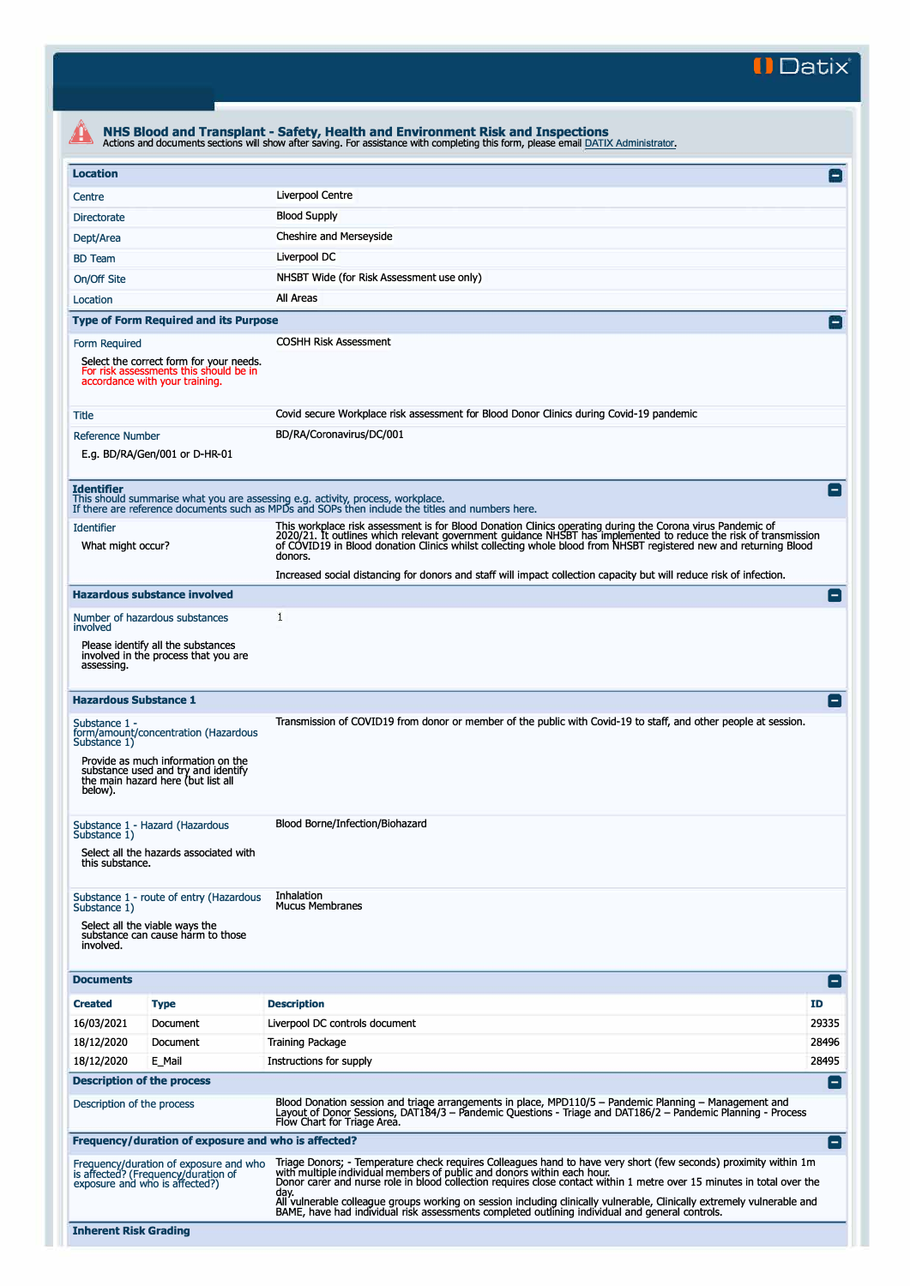**II Datix"** 

|                                                                                                                                                                                                     | Actions and documents sections will show after saving. For assistance with completing this form, please email DATIX Administrator.                                                                                                                                                                                                                                                                                                                                                                                                                          |                    |  |  |  |  |
|-----------------------------------------------------------------------------------------------------------------------------------------------------------------------------------------------------|-------------------------------------------------------------------------------------------------------------------------------------------------------------------------------------------------------------------------------------------------------------------------------------------------------------------------------------------------------------------------------------------------------------------------------------------------------------------------------------------------------------------------------------------------------------|--------------------|--|--|--|--|
| <b>Location</b>                                                                                                                                                                                     |                                                                                                                                                                                                                                                                                                                                                                                                                                                                                                                                                             |                    |  |  |  |  |
| Centre                                                                                                                                                                                              | Liverpool Centre                                                                                                                                                                                                                                                                                                                                                                                                                                                                                                                                            |                    |  |  |  |  |
| <b>Directorate</b>                                                                                                                                                                                  | <b>Blood Supply</b>                                                                                                                                                                                                                                                                                                                                                                                                                                                                                                                                         |                    |  |  |  |  |
| Dept/Area                                                                                                                                                                                           | Cheshire and Merseyside                                                                                                                                                                                                                                                                                                                                                                                                                                                                                                                                     |                    |  |  |  |  |
| <b>BD</b> Team                                                                                                                                                                                      | Liverpool DC                                                                                                                                                                                                                                                                                                                                                                                                                                                                                                                                                |                    |  |  |  |  |
| On/Off Site                                                                                                                                                                                         | NHSBT Wide (for Risk Assessment use only)                                                                                                                                                                                                                                                                                                                                                                                                                                                                                                                   |                    |  |  |  |  |
| Location                                                                                                                                                                                            | All Areas                                                                                                                                                                                                                                                                                                                                                                                                                                                                                                                                                   |                    |  |  |  |  |
| <b>Type of Form Required and its Purpose</b>                                                                                                                                                        |                                                                                                                                                                                                                                                                                                                                                                                                                                                                                                                                                             |                    |  |  |  |  |
| Form Required<br>Select the correct form for your needs.<br>For risk assessments this should be in<br>accordance with your training.                                                                | <b>COSHH Risk Assessment</b>                                                                                                                                                                                                                                                                                                                                                                                                                                                                                                                                |                    |  |  |  |  |
| Title                                                                                                                                                                                               | Covid secure Workplace risk assessment for Blood Donor Clinics during Covid-19 pandemic                                                                                                                                                                                                                                                                                                                                                                                                                                                                     |                    |  |  |  |  |
| <b>Reference Number</b><br>E.g. BD/RA/Gen/001 or D-HR-01                                                                                                                                            | BD/RA/Coronavirus/DC/001                                                                                                                                                                                                                                                                                                                                                                                                                                                                                                                                    |                    |  |  |  |  |
| <b>Identifier</b><br>This should summarise what you are assessing e.g. activity, process, workplace.                                                                                                | If there are reference documents such as MPDs and SOPs then include the titles and numbers here.                                                                                                                                                                                                                                                                                                                                                                                                                                                            |                    |  |  |  |  |
| <b>Identifier</b><br>What might occur?                                                                                                                                                              | This workplace risk assessment is for Blood Donation Clinics operating during the Corona virus Pandemic of<br>2020/21. It outlines which relevant government guidance NHSBT has implemented to reduce the risk of transmission<br>of COVID19 in Blood donation Clinics whilst collecting whole blood from NHSBT registered new and returning Blood<br>donors.                                                                                                                                                                                               |                    |  |  |  |  |
|                                                                                                                                                                                                     | Increased social distancing for donors and staff will impact collection capacity but will reduce risk of infection.                                                                                                                                                                                                                                                                                                                                                                                                                                         |                    |  |  |  |  |
| <b>Hazardous substance involved</b>                                                                                                                                                                 |                                                                                                                                                                                                                                                                                                                                                                                                                                                                                                                                                             |                    |  |  |  |  |
| Number of hazardous substances<br>involved                                                                                                                                                          | 1                                                                                                                                                                                                                                                                                                                                                                                                                                                                                                                                                           |                    |  |  |  |  |
| Please identify all the substances<br>involved in the process that you are<br>assessing.                                                                                                            |                                                                                                                                                                                                                                                                                                                                                                                                                                                                                                                                                             |                    |  |  |  |  |
| <b>Hazardous Substance 1</b>                                                                                                                                                                        |                                                                                                                                                                                                                                                                                                                                                                                                                                                                                                                                                             |                    |  |  |  |  |
| Substance 1 -<br>form/amount/concentration (Hazardous<br>Substance 1)<br>Provide as much information on the<br>substance used and try and identify<br>the main hazard here (but list all<br>below). | Transmission of COVID19 from donor or member of the public with Covid-19 to staff, and other people at session.                                                                                                                                                                                                                                                                                                                                                                                                                                             |                    |  |  |  |  |
| Substance 1 - Hazard (Hazardous<br>Substance 1)<br>Select all the hazards associated with<br>this substance.                                                                                        | Blood Borne/Infection/Biohazard                                                                                                                                                                                                                                                                                                                                                                                                                                                                                                                             |                    |  |  |  |  |
| Substance 1 - route of entry (Hazardous<br>Substance 1)<br>Select all the viable ways the<br>substance can cause harm to those<br>involved.                                                         | Inhalation<br><b>Mucus Membranes</b>                                                                                                                                                                                                                                                                                                                                                                                                                                                                                                                        |                    |  |  |  |  |
| <b>Documents</b>                                                                                                                                                                                    |                                                                                                                                                                                                                                                                                                                                                                                                                                                                                                                                                             | Е                  |  |  |  |  |
| <b>Created</b><br><b>Type</b>                                                                                                                                                                       | <b>Description</b>                                                                                                                                                                                                                                                                                                                                                                                                                                                                                                                                          | <b>ID</b>          |  |  |  |  |
| 16/03/2021<br>Document                                                                                                                                                                              | Liverpool DC controls document                                                                                                                                                                                                                                                                                                                                                                                                                                                                                                                              | 29335              |  |  |  |  |
| 18/12/2020<br>Document                                                                                                                                                                              | <b>Training Package</b>                                                                                                                                                                                                                                                                                                                                                                                                                                                                                                                                     | 28496              |  |  |  |  |
| 18/12/2020<br>E Mail                                                                                                                                                                                | Instructions for supply                                                                                                                                                                                                                                                                                                                                                                                                                                                                                                                                     | 28495              |  |  |  |  |
| <b>Description of the process</b>                                                                                                                                                                   |                                                                                                                                                                                                                                                                                                                                                                                                                                                                                                                                                             | $\left  - \right $ |  |  |  |  |
| Description of the process                                                                                                                                                                          | Blood Donation session and triage arrangements in place, MPD110/5 - Pandemic Planning - Management and<br>Layout of Donor Sessions, DAT184/3 - Pandemic Questions - Triage and DAT186/2 - Pandemic Planning - Process<br>Flow Chart for Triage Area.                                                                                                                                                                                                                                                                                                        |                    |  |  |  |  |
|                                                                                                                                                                                                     |                                                                                                                                                                                                                                                                                                                                                                                                                                                                                                                                                             |                    |  |  |  |  |
| Frequency/duration of exposure and who is affected?                                                                                                                                                 |                                                                                                                                                                                                                                                                                                                                                                                                                                                                                                                                                             | $\left[ -\right]$  |  |  |  |  |
| Frequency/duration of exposure and who<br>is affected? (Frequency/duration of<br>exposure and who is affected?)                                                                                     | Triage Donors; - Temperature check requires Colleagues hand to have very short (few seconds) proximity within 1m<br>with multiple individual members of public and donors within each hour.<br>Donor carer and nurse role in blood collection requires close contact within 1 metre over 15 minutes in total over the<br>day.<br>All vulnerable colleague groups working on session including clinically vulnerable, Clinically extremely vulnerable and<br>BAME, have had individual risk assessments completed outlining individual and general controls. |                    |  |  |  |  |